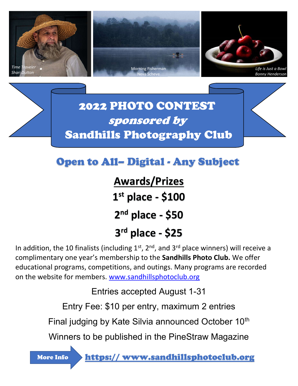

Open to All– Digital - Any Subject

Awards/Prizes 1 st place - \$100  $2<sup>nd</sup>$  place - \$50 3 rd place - \$25

In addition, the 10 finalists (including  $1<sup>st</sup>$ ,  $2<sup>nd</sup>$ , and  $3<sup>rd</sup>$  place winners) will receive a complimentary one year's membership to the Sandhills Photo Club. We offer educational programs, competitions, and outings. Many programs are recorded on the website for members. www.sandhillsphotoclub.org

Entries accepted August 1-31

Entry Fee: \$10 per entry, maximum 2 entries

Final judging by Kate Silvia announced October 10<sup>th</sup>

Winners to be published in the PineStraw Magazine

More Info

https:// www.sandhillsphotoclub.org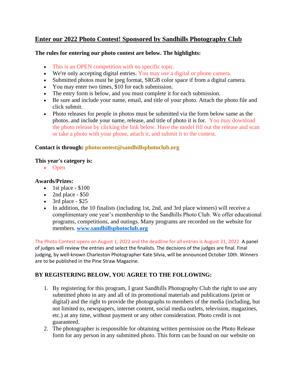## **Enter our 2022 Photo Contest! Sponsored by Sandhills Photography Club**

#### **The rules for entering our photo contest are below. The highlights:**

- This is an OPEN competition with no specific topic.
- We're only accepting digital entries. You may use a digital or phone camera.
- Submitted photos must be jpeg format, SRGB color space if from a digital camera.
- You may enter two times, \$10 for each submission.
- The entry form is below, and you must complete it for each submission.
- Be sure and include your name, email, and title of your photo. Attach the photo file and click submit.
- Photo releases for people in photos must be submitted via the form below same as the photos. and include your name, release, and title of photo it is for. You may download the photo release by clicking the link below. Have the model fill out the release and scan or take a photo with your phone, attach it, and submit it to the contest.

### **Contact is through: photocontest@sandhillsphotoclub.org**

#### **This year's category is:**

• Open

### **Awards/Prizes:**

- 1st place  $$100$
- 2nd place  $-$  \$50
- 3rd place  $$25$
- In addition, the 10 finalists (including 1st, 2nd, and 3rd place winners) will receive a complimentary one year's membership to the Sandhills Photo Club. We offer educational programs, competitions, and outings. Many programs are recorded on the website for members. **www.sandhillsphotoclub.org**

The Photo Contest opens on August 1, 2022 and the deadline for all entries is August 31, 2022. A panel of judges will review the entries and select the finalists. The decisions of the judges are final. Final judging, by well-known Charleston Photographer Kate Silvia, will be announced October 10th. Winners are to be published in the Pine Straw Magazine.

## **BY REGISTERING BELOW, YOU AGREE TO THE FOLLOWING:**

- 1. By registering for this program, I grant Sandhills Photography Club the right to use any submitted photo in any and all of its promotional materials and publications (print or digital) and the right to provide the photographs to members of the media (including, but not limited to, newspapers, internet content, social media outlets, television, magazines, etc.) at any time, without payment or any other consideration. Photo credit is not guaranteed.
- 2. The photographer is responsible for obtaining written permission on the Photo Release form for any person in any submitted photo. This form can be found on our website on